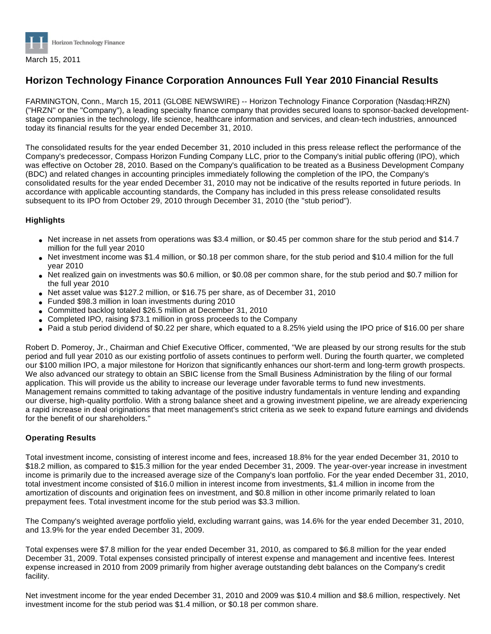

# **Horizon Technology Finance Corporation Announces Full Year 2010 Financial Results**

FARMINGTON, Conn., March 15, 2011 (GLOBE NEWSWIRE) -- Horizon Technology Finance Corporation (Nasdaq:HRZN) ("HRZN" or the "Company"), a leading specialty finance company that provides secured loans to sponsor-backed developmentstage companies in the technology, life science, healthcare information and services, and clean-tech industries, announced today its financial results for the year ended December 31, 2010.

The consolidated results for the year ended December 31, 2010 included in this press release reflect the performance of the Company's predecessor, Compass Horizon Funding Company LLC, prior to the Company's initial public offering (IPO), which was effective on October 28, 2010. Based on the Company's qualification to be treated as a Business Development Company (BDC) and related changes in accounting principles immediately following the completion of the IPO, the Company's consolidated results for the year ended December 31, 2010 may not be indicative of the results reported in future periods. In accordance with applicable accounting standards, the Company has included in this press release consolidated results subsequent to its IPO from October 29, 2010 through December 31, 2010 (the "stub period").

## **Highlights**

- Net increase in net assets from operations was \$3.4 million, or \$0.45 per common share for the stub period and \$14.7 million for the full year 2010
- Net investment income was \$1.4 million, or \$0.18 per common share, for the stub period and \$10.4 million for the full year 2010
- Net realized gain on investments was \$0.6 million, or \$0.08 per common share, for the stub period and \$0.7 million for the full year 2010
- Net asset value was \$127.2 million, or \$16.75 per share, as of December 31, 2010
- Funded \$98.3 million in loan investments during 2010
- Committed backlog totaled \$26.5 million at December 31, 2010
- Completed IPO, raising \$73.1 million in gross proceeds to the Company
- Paid a stub period dividend of \$0.22 per share, which equated to a 8.25% yield using the IPO price of \$16.00 per share

Robert D. Pomeroy, Jr., Chairman and Chief Executive Officer, commented, "We are pleased by our strong results for the stub period and full year 2010 as our existing portfolio of assets continues to perform well. During the fourth quarter, we completed our \$100 million IPO, a major milestone for Horizon that significantly enhances our short-term and long-term growth prospects. We also advanced our strategy to obtain an SBIC license from the Small Business Administration by the filing of our formal application. This will provide us the ability to increase our leverage under favorable terms to fund new investments. Management remains committed to taking advantage of the positive industry fundamentals in venture lending and expanding our diverse, high-quality portfolio. With a strong balance sheet and a growing investment pipeline, we are already experiencing a rapid increase in deal originations that meet management's strict criteria as we seek to expand future earnings and dividends for the benefit of our shareholders."

## **Operating Results**

Total investment income, consisting of interest income and fees, increased 18.8% for the year ended December 31, 2010 to \$18.2 million, as compared to \$15.3 million for the year ended December 31, 2009. The year-over-year increase in investment income is primarily due to the increased average size of the Company's loan portfolio. For the year ended December 31, 2010, total investment income consisted of \$16.0 million in interest income from investments, \$1.4 million in income from the amortization of discounts and origination fees on investment, and \$0.8 million in other income primarily related to loan prepayment fees. Total investment income for the stub period was \$3.3 million.

The Company's weighted average portfolio yield, excluding warrant gains, was 14.6% for the year ended December 31, 2010, and 13.9% for the year ended December 31, 2009.

Total expenses were \$7.8 million for the year ended December 31, 2010, as compared to \$6.8 million for the year ended December 31, 2009. Total expenses consisted principally of interest expense and management and incentive fees. Interest expense increased in 2010 from 2009 primarily from higher average outstanding debt balances on the Company's credit facility.

Net investment income for the year ended December 31, 2010 and 2009 was \$10.4 million and \$8.6 million, respectively. Net investment income for the stub period was \$1.4 million, or \$0.18 per common share.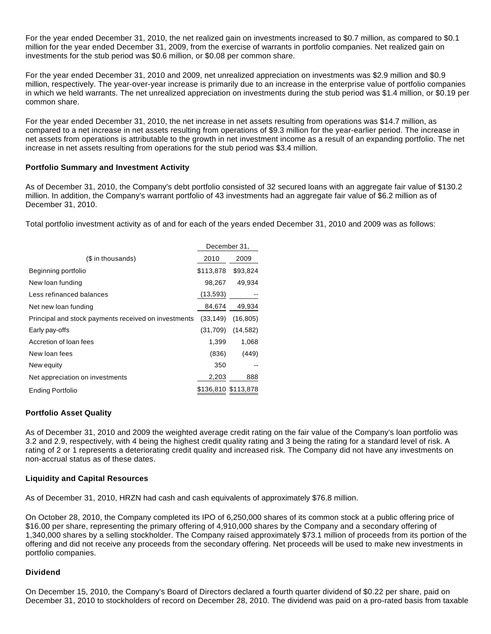For the year ended December 31, 2010, the net realized gain on investments increased to \$0.7 million, as compared to \$0.1 million for the year ended December 31, 2009, from the exercise of warrants in portfolio companies. Net realized gain on investments for the stub period was \$0.6 million, or \$0.08 per common share.

For the year ended December 31, 2010 and 2009, net unrealized appreciation on investments was \$2.9 million and \$0.9 million, respectively. The year-over-year increase is primarily due to an increase in the enterprise value of portfolio companies in which we held warrants. The net unrealized appreciation on investments during the stub period was \$1.4 million, or \$0.19 per common share.

For the year ended December 31, 2010, the net increase in net assets resulting from operations was \$14.7 million, as compared to a net increase in net assets resulting from operations of \$9.3 million for the year-earlier period. The increase in net assets from operations is attributable to the growth in net investment income as a result of an expanding portfolio. The net increase in net assets resulting from operations for the stub period was \$3.4 million.

## **Portfolio Summary and Investment Activity**

As of December 31, 2010, the Company's debt portfolio consisted of 32 secured loans with an aggregate fair value of \$130.2 million. In addition, the Company's warrant portfolio of 43 investments had an aggregate fair value of \$6.2 million as of December 31, 2010.

Total portfolio investment activity as of and for each of the years ended December 31, 2010 and 2009 was as follows:

|                                                      | December 31,        |           |
|------------------------------------------------------|---------------------|-----------|
| (\$ in thousands)                                    | 2010                | 2009      |
| Beginning portfolio                                  | \$113,878           | \$93,824  |
| New loan funding                                     | 98,267              | 49,934    |
| Less refinanced balances                             | (13, 593)           |           |
| Net new loan funding                                 | 84,674              | 49,934    |
| Principal and stock payments received on investments | (33, 149)           | (16, 805) |
| Early pay-offs                                       | (31,709)            | (14, 582) |
| Accretion of loan fees                               | 1,399               | 1.068     |
| New loan fees                                        | (836)               | (449)     |
| New equity                                           | 350                 |           |
| Net appreciation on investments                      | 2,203               | 888       |
| Ending Portfolio                                     | \$136,810 \$113,878 |           |

## **Portfolio Asset Quality**

As of December 31, 2010 and 2009 the weighted average credit rating on the fair value of the Company's loan portfolio was 3.2 and 2.9, respectively, with 4 being the highest credit quality rating and 3 being the rating for a standard level of risk. A rating of 2 or 1 represents a deteriorating credit quality and increased risk. The Company did not have any investments on non-accrual status as of these dates.

#### **Liquidity and Capital Resources**

As of December 31, 2010, HRZN had cash and cash equivalents of approximately \$76.8 million.

On October 28, 2010, the Company completed its IPO of 6,250,000 shares of its common stock at a public offering price of \$16.00 per share, representing the primary offering of 4,910,000 shares by the Company and a secondary offering of 1,340,000 shares by a selling stockholder. The Company raised approximately \$73.1 million of proceeds from its portion of the offering and did not receive any proceeds from the secondary offering. Net proceeds will be used to make new investments in portfolio companies.

## **Dividend**

On December 15, 2010, the Company's Board of Directors declared a fourth quarter dividend of \$0.22 per share, paid on December 31, 2010 to stockholders of record on December 28, 2010. The dividend was paid on a pro-rated basis from taxable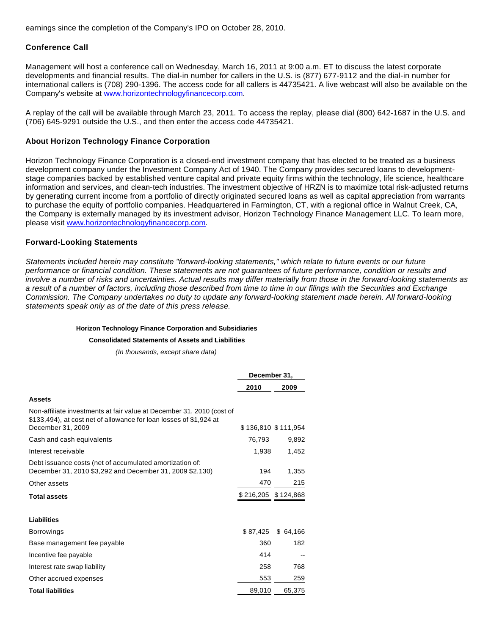earnings since the completion of the Company's IPO on October 28, 2010.

## **Conference Call**

Management will host a conference call on Wednesday, March 16, 2011 at 9:00 a.m. ET to discuss the latest corporate developments and financial results. The dial-in number for callers in the U.S. is (877) 677-9112 and the dial-in number for international callers is (708) 290-1396. The access code for all callers is 44735421. A live webcast will also be available on the Company's website at [www.horizontechnologyfinancecorp.com.](http://www.horizontechnologyfinancecorp.com/)

A replay of the call will be available through March 23, 2011. To access the replay, please dial (800) 642-1687 in the U.S. and (706) 645-9291 outside the U.S., and then enter the access code 44735421.

## **About Horizon Technology Finance Corporation**

Horizon Technology Finance Corporation is a closed-end investment company that has elected to be treated as a business development company under the Investment Company Act of 1940. The Company provides secured loans to developmentstage companies backed by established venture capital and private equity firms within the technology, life science, healthcare information and services, and clean-tech industries. The investment objective of HRZN is to maximize total risk-adjusted returns by generating current income from a portfolio of directly originated secured loans as well as capital appreciation from warrants to purchase the equity of portfolio companies. Headquartered in Farmington, CT, with a regional office in Walnut Creek, CA, the Company is externally managed by its investment advisor, Horizon Technology Finance Management LLC. To learn more, please visit [www.horizontechnologyfinancecorp.com](http://www.horizontechnologyfinancecorp.com/).

## **Forward-Looking Statements**

Statements included herein may constitute "forward-looking statements," which relate to future events or our future performance or financial condition. These statements are not guarantees of future performance, condition or results and involve a number of risks and uncertainties. Actual results may differ materially from those in the forward-looking statements as a result of a number of factors, including those described from time to time in our filings with the Securities and Exchange Commission. The Company undertakes no duty to update any forward-looking statement made herein. All forward-looking statements speak only as of the date of this press release.

## **Horizon Technology Finance Corporation and Subsidiaries**

#### **Consolidated Statements of Assets and Liabilities**

(In thousands, except share data)

|                                                                                                                                                                  | December 31,          |                     |
|------------------------------------------------------------------------------------------------------------------------------------------------------------------|-----------------------|---------------------|
|                                                                                                                                                                  | 2010                  | 2009                |
| <b>Assets</b>                                                                                                                                                    |                       |                     |
| Non-affiliate investments at fair value at December 31, 2010 (cost of<br>\$133,494), at cost net of allowance for loan losses of \$1,924 at<br>December 31, 2009 |                       | \$136,810 \$111,954 |
| Cash and cash equivalents                                                                                                                                        | 76,793                | 9,892               |
|                                                                                                                                                                  |                       |                     |
| Interest receivable                                                                                                                                              | 1,938                 | 1,452               |
| Debt issuance costs (net of accumulated amortization of:<br>December 31, 2010 \$3,292 and December 31, 2009 \$2,130)                                             | 194                   | 1,355               |
| Other assets                                                                                                                                                     | 470                   | 215                 |
| <b>Total assets</b>                                                                                                                                              | $$216,205$ $$124,868$ |                     |
| <b>Liabilities</b>                                                                                                                                               |                       |                     |
| <b>Borrowings</b>                                                                                                                                                | \$87,425              | \$64,166            |
| Base management fee payable                                                                                                                                      | 360                   | 182                 |
| Incentive fee payable                                                                                                                                            | 414                   |                     |
| Interest rate swap liability                                                                                                                                     | 258                   | 768                 |
| Other accrued expenses                                                                                                                                           | 553                   | 259                 |
| <b>Total liabilities</b>                                                                                                                                         | 89,010                | 65,375              |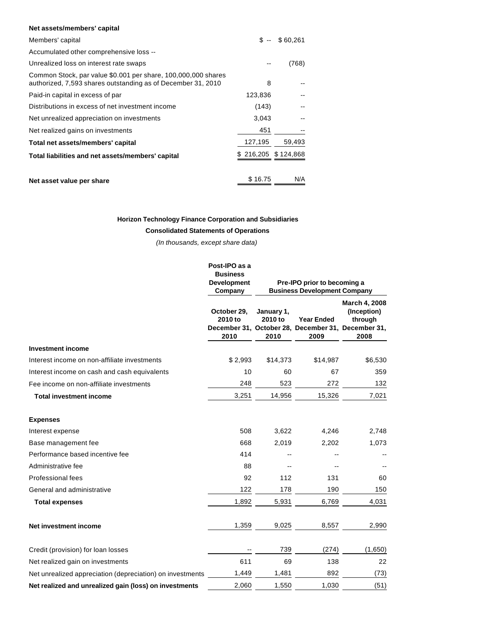#### **Net assets/members' capital**

| Members' capital                                                                                                              | \$ --     | \$60,261  |
|-------------------------------------------------------------------------------------------------------------------------------|-----------|-----------|
| Accumulated other comprehensive loss --                                                                                       |           |           |
| Unrealized loss on interest rate swaps                                                                                        |           | (768)     |
| Common Stock, par value \$0.001 per share, 100,000,000 shares<br>authorized, 7,593 shares outstanding as of December 31, 2010 | 8         |           |
| Paid-in capital in excess of par                                                                                              | 123,836   |           |
| Distributions in excess of net investment income                                                                              | (143)     |           |
| Net unrealized appreciation on investments                                                                                    | 3,043     |           |
| Net realized gains on investments                                                                                             | 451       |           |
| Total net assets/members' capital                                                                                             | 127,195   | 59,493    |
| Total liabilities and net assets/members' capital                                                                             | \$216,205 | \$124,868 |
|                                                                                                                               |           |           |
| Net asset value per share                                                                                                     | \$16.75   | N/A       |

#### **Horizon Technology Finance Corporation and Subsidiaries**

#### **Consolidated Statements of Operations**

(In thousands, except share data)

|                                                           | Post-IPO as a<br><b>Business</b><br><b>Development</b><br>Company |                               | Pre-IPO prior to becoming a<br><b>Business Development Company</b> |                                                                                                       |
|-----------------------------------------------------------|-------------------------------------------------------------------|-------------------------------|--------------------------------------------------------------------|-------------------------------------------------------------------------------------------------------|
|                                                           | October 29,<br>2010 to<br>2010                                    | January 1,<br>2010 to<br>2010 | <b>Year Ended</b><br>2009                                          | March 4, 2008<br>(Inception)<br>through<br>December 31, October 28, December 31, December 31,<br>2008 |
| <b>Investment income</b>                                  |                                                                   |                               |                                                                    |                                                                                                       |
| Interest income on non-affiliate investments              | \$2,993                                                           | \$14,373                      | \$14,987                                                           | \$6,530                                                                                               |
| Interest income on cash and cash equivalents              | 10                                                                | 60                            | 67                                                                 | 359                                                                                                   |
| Fee income on non-affiliate investments                   | 248                                                               | 523                           | 272                                                                | 132                                                                                                   |
| <b>Total investment income</b>                            | 3,251                                                             | 14,956                        | 15,326                                                             | 7,021                                                                                                 |
| <b>Expenses</b>                                           |                                                                   |                               |                                                                    |                                                                                                       |
| Interest expense                                          | 508                                                               | 3,622                         | 4,246                                                              | 2,748                                                                                                 |
| Base management fee                                       | 668                                                               | 2,019                         | 2,202                                                              | 1,073                                                                                                 |
| Performance based incentive fee                           | 414                                                               |                               |                                                                    |                                                                                                       |
| Administrative fee                                        | 88                                                                |                               |                                                                    |                                                                                                       |
| <b>Professional fees</b>                                  | 92                                                                | 112                           | 131                                                                | 60                                                                                                    |
| General and administrative                                | 122                                                               | 178                           | 190                                                                | 150                                                                                                   |
| <b>Total expenses</b>                                     | 1,892                                                             | 5,931                         | 6,769                                                              | 4,031                                                                                                 |
| Net investment income                                     | 1,359                                                             | 9,025                         | 8,557                                                              | 2,990                                                                                                 |
| Credit (provision) for loan losses                        |                                                                   | 739                           | (274)                                                              | (1,650)                                                                                               |
| Net realized gain on investments                          | 611                                                               | 69                            | 138                                                                | 22                                                                                                    |
| Net unrealized appreciation (depreciation) on investments | 1,449                                                             | 1,481                         | 892                                                                | (73)                                                                                                  |
| Net realized and unrealized gain (loss) on investments    | 2,060                                                             | 1,550                         | 1,030                                                              | (51)                                                                                                  |